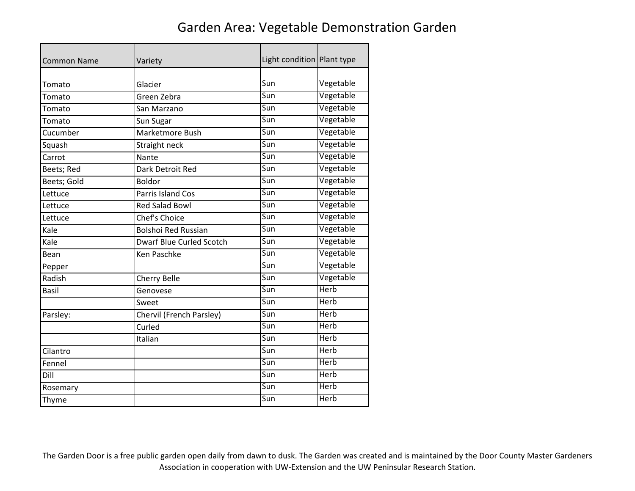## Garden Area: Vegetable Demonstration Garden

| <b>Common Name</b> | Variety                         | Light condition Plant type |             |
|--------------------|---------------------------------|----------------------------|-------------|
|                    |                                 |                            |             |
| Tomato             | Glacier                         | Sun                        | Vegetable   |
| Tomato             | Green Zebra                     | Sun                        | Vegetable   |
| Tomato             | San Marzano                     | Sun                        | Vegetable   |
| Tomato             | Sun Sugar                       | Sun                        | Vegetable   |
| Cucumber           | Marketmore Bush                 | Sun                        | Vegetable   |
| Squash             | Straight neck                   | Sun                        | Vegetable   |
| Carrot             | Nante                           | Sun                        | Vegetable   |
| Beets; Red         | Dark Detroit Red                | Sun                        | Vegetable   |
| Beets; Gold        | <b>Boldor</b>                   | Sun                        | Vegetable   |
| Lettuce            | <b>Parris Island Cos</b>        | Sun                        | Vegetable   |
| Lettuce            | <b>Red Salad Bowl</b>           | Sun                        | Vegetable   |
| Lettuce            | <b>Chef's Choice</b>            | $\overline{\mathsf{S}}$ un | Vegetable   |
| Kale               | <b>Bolshoi Red Russian</b>      | Sun                        | Vegetable   |
| Kale               | <b>Dwarf Blue Curled Scotch</b> | Sun                        | Vegetable   |
| Bean               | <b>Ken Paschke</b>              | Sun                        | Vegetable   |
| Pepper             |                                 | Sun                        | Vegetable   |
| Radish             | <b>Cherry Belle</b>             | Sun                        | Vegetable   |
| <b>Basil</b>       | Genovese                        | Sun                        | <b>Herb</b> |
|                    | Sweet                           | Sun                        | <b>Herb</b> |
| Parsley:           | Chervil (French Parsley)        | Sun                        | <b>Herb</b> |
|                    | Curled                          | $\overline{\mathsf{S}}$ un | Herb        |
|                    | Italian                         | Sun                        | <b>Herb</b> |
| Cilantro           |                                 | Sun                        | Herb        |
| Fennel             |                                 | Sun                        | <b>Herb</b> |
| Dill               |                                 | Sun                        | Herb        |
| Rosemary           |                                 | Sun                        | <b>Herb</b> |
| Thyme              |                                 | Sun                        | <b>Herb</b> |

The Garden Door is a free public garden open daily from dawn to dusk. The Garden was created and is maintained by the Door County Master Gardeners Association in cooperation with UW-Extension and the UW Peninsular Research Station.